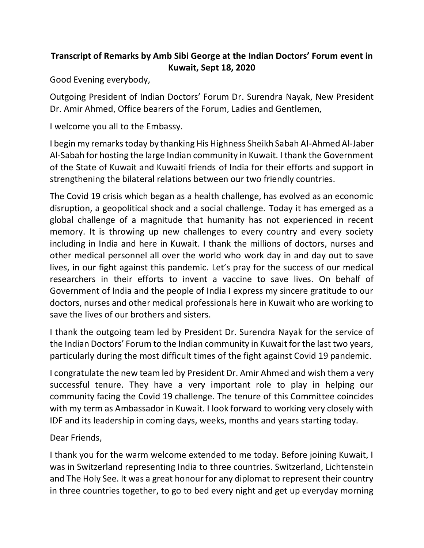## **Transcript of Remarks by Amb Sibi George at the Indian Doctors' Forum event in Kuwait, Sept 18, 2020**

Good Evening everybody,

Outgoing President of Indian Doctors' Forum Dr. Surendra Nayak, New President Dr. Amir Ahmed, Office bearers of the Forum, Ladies and Gentlemen,

I welcome you all to the Embassy.

I begin my remarks today by thanking His Highness Sheikh Sabah Al-Ahmed Al-Jaber Al-Sabah for hosting the large Indian community in Kuwait. I thank the Government of the State of Kuwait and Kuwaiti friends of India for their efforts and support in strengthening the bilateral relations between our two friendly countries.

The Covid 19 crisis which began as a health challenge, has evolved as an economic disruption, a geopolitical shock and a social challenge. Today it has emerged as a global challenge of a magnitude that humanity has not experienced in recent memory. It is throwing up new challenges to every country and every society including in India and here in Kuwait. I thank the millions of doctors, nurses and other medical personnel all over the world who work day in and day out to save lives, in our fight against this pandemic. Let's pray for the success of our medical researchers in their efforts to invent a vaccine to save lives. On behalf of Government of India and the people of India I express my sincere gratitude to our doctors, nurses and other medical professionals here in Kuwait who are working to save the lives of our brothers and sisters.

I thank the outgoing team led by President Dr. Surendra Nayak for the service of the Indian Doctors' Forum to the Indian community in Kuwait for the last two years, particularly during the most difficult times of the fight against Covid 19 pandemic.

I congratulate the new team led by President Dr. Amir Ahmed and wish them a very successful tenure. They have a very important role to play in helping our community facing the Covid 19 challenge. The tenure of this Committee coincides with my term as Ambassador in Kuwait. I look forward to working very closely with IDF and its leadership in coming days, weeks, months and years starting today.

Dear Friends,

I thank you for the warm welcome extended to me today. Before joining Kuwait, I was in Switzerland representing India to three countries. Switzerland, Lichtenstein and The Holy See. It was a great honour for any diplomat to represent their country in three countries together, to go to bed every night and get up everyday morning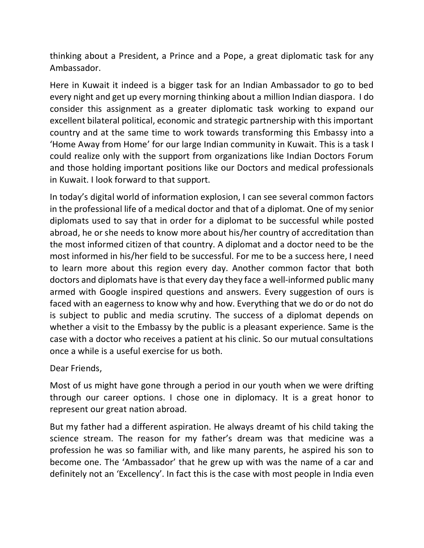thinking about a President, a Prince and a Pope, a great diplomatic task for any Ambassador.

Here in Kuwait it indeed is a bigger task for an Indian Ambassador to go to bed every night and get up every morning thinking about a million Indian diaspora. I do consider this assignment as a greater diplomatic task working to expand our excellent bilateral political, economic and strategic partnership with this important country and at the same time to work towards transforming this Embassy into a 'Home Away from Home' for our large Indian community in Kuwait. This is a task I could realize only with the support from organizations like Indian Doctors Forum and those holding important positions like our Doctors and medical professionals in Kuwait. I look forward to that support.

In today's digital world of information explosion, I can see several common factors in the professional life of a medical doctor and that of a diplomat. One of my senior diplomats used to say that in order for a diplomat to be successful while posted abroad, he or she needs to know more about his/her country of accreditation than the most informed citizen of that country. A diplomat and a doctor need to be the most informed in his/her field to be successful. For me to be a success here, I need to learn more about this region every day. Another common factor that both doctors and diplomats have is that every day they face a well-informed public many armed with Google inspired questions and answers. Every suggestion of ours is faced with an eagerness to know why and how. Everything that we do or do not do is subject to public and media scrutiny. The success of a diplomat depends on whether a visit to the Embassy by the public is a pleasant experience. Same is the case with a doctor who receives a patient at his clinic. So our mutual consultations once a while is a useful exercise for us both.

Dear Friends,

Most of us might have gone through a period in our youth when we were drifting through our career options. I chose one in diplomacy. It is a great honor to represent our great nation abroad.

But my father had a different aspiration. He always dreamt of his child taking the science stream. The reason for my father's dream was that medicine was a profession he was so familiar with, and like many parents, he aspired his son to become one. The 'Ambassador' that he grew up with was the name of a car and definitely not an 'Excellency'. In fact this is the case with most people in India even